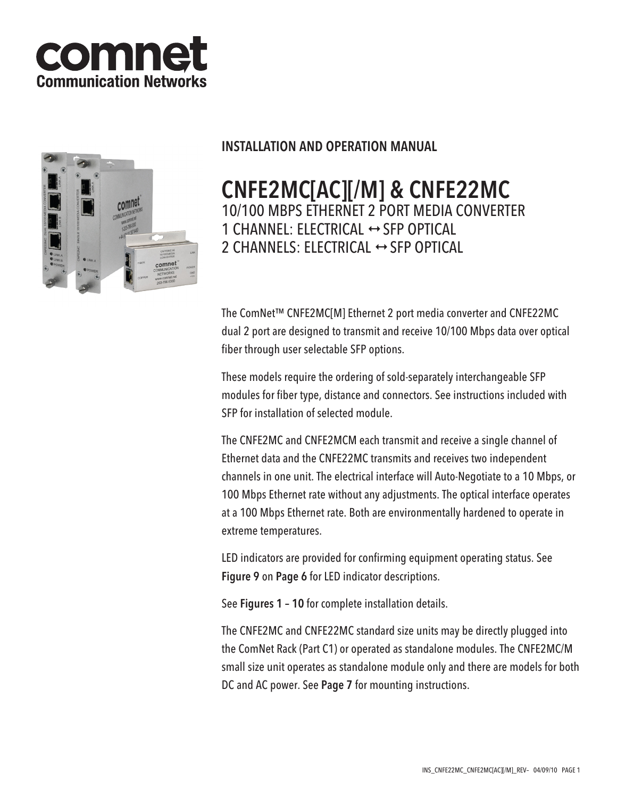



# INSTALLATION AND OPERATION MANUAL

# CNFE2MC[AC][/M] & CNFE22MC 10/100 MBPS ETHERNET 2 PORT MEDIA CONVERTER 1 CHANNEL: ELECTRICAL  $\leftrightarrow$  SFP OPTICAL 2 CHANNELS: ELECTRICAL  $\leftrightarrow$  SFP OPTICAL

The ComNet™ CNFE2MC[M] Ethernet 2 port media converter and CNFE22MC dual 2 port are designed to transmit and receive 10/100 Mbps data over optical fiber through user selectable SFP options.

These models require the ordering of sold-separately interchangeable SFP modules for fiber type, distance and connectors. See instructions included with SFP for installation of selected module.

The CNFE2MC and CNFE2MCM each transmit and receive a single channel of Ethernet data and the CNFE22MC transmits and receives two independent channels in one unit. The electrical interface will Auto-Negotiate to a 10 Mbps, or 100 Mbps Ethernet rate without any adjustments. The optical interface operates at a 100 Mbps Ethernet rate. Both are environmentally hardened to operate in extreme temperatures.

LED indicators are provided for confirming equipment operating status. See Figure 9 on Page 6 for LED indicator descriptions.

See Figures 1 – 10 for complete installation details.

The CNFE2MC and CNFE22MC standard size units may be directly plugged into the ComNet Rack (Part C1) or operated as standalone modules. The CNFE2MC/M small size unit operates as standalone module only and there are models for both DC and AC power. See Page 7 for mounting instructions.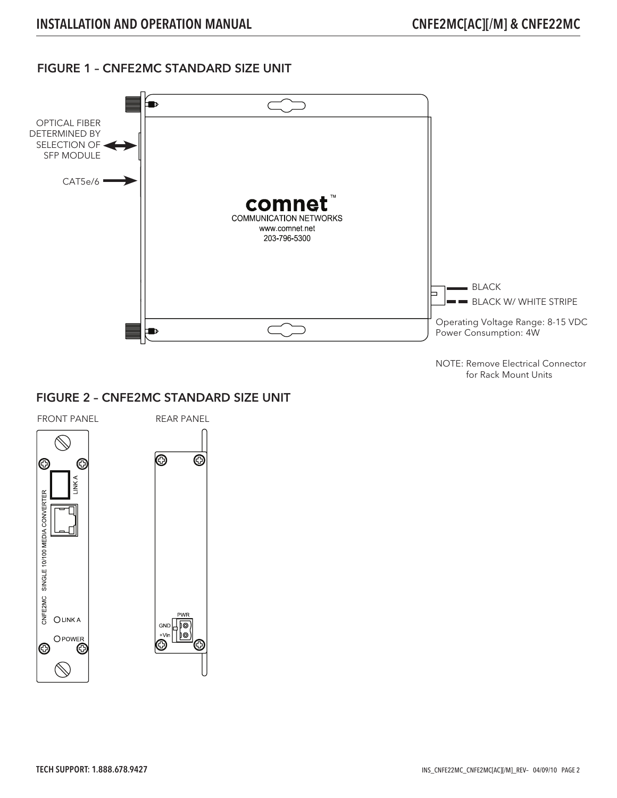## FIGURE 1 – CNFE2MC STANDARD SIZE UNIT



NOTE: Remove Electrical Connector for Rack Mount Units

#### FIGURE 2 – CNFE2MC STANDARD SIZE UNIT

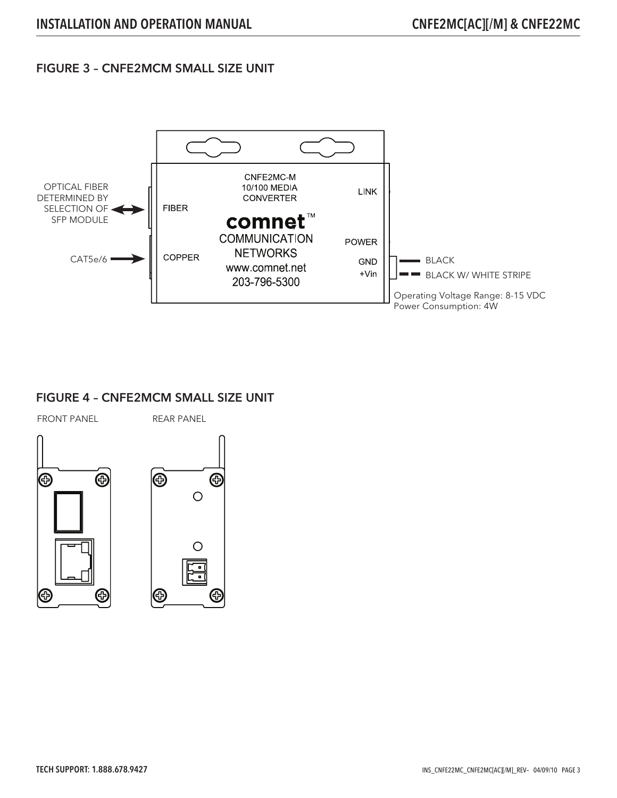### FIGURE 3 – CNFE2MCM SMALL SIZE UNIT



## FIGURE 4 – CNFE2MCM SMALL SIZE UNIT

FRONT PANEL REAR PANEL



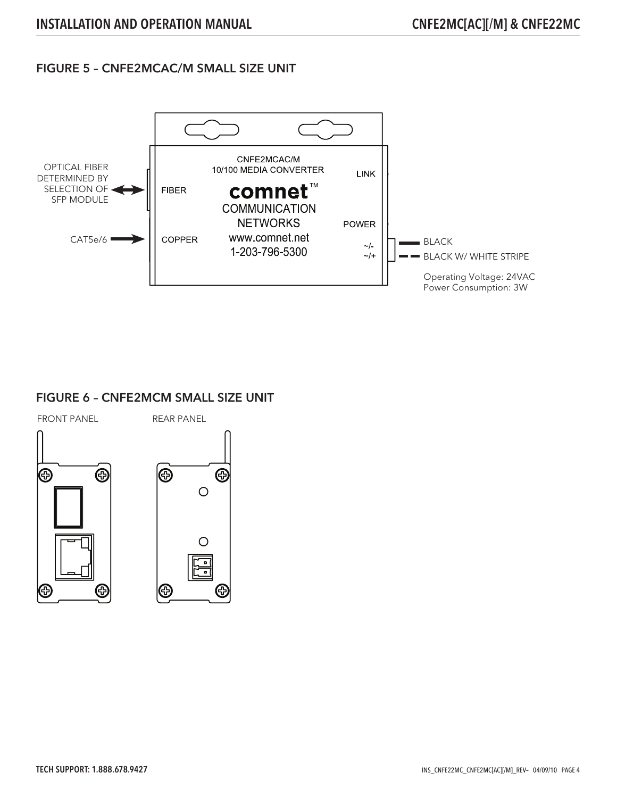#### FIGURE 5 – CNFE2MCAC/M SMALL SIZE UNIT



#### FIGURE 6 – CNFE2MCM SMALL SIZE UNIT



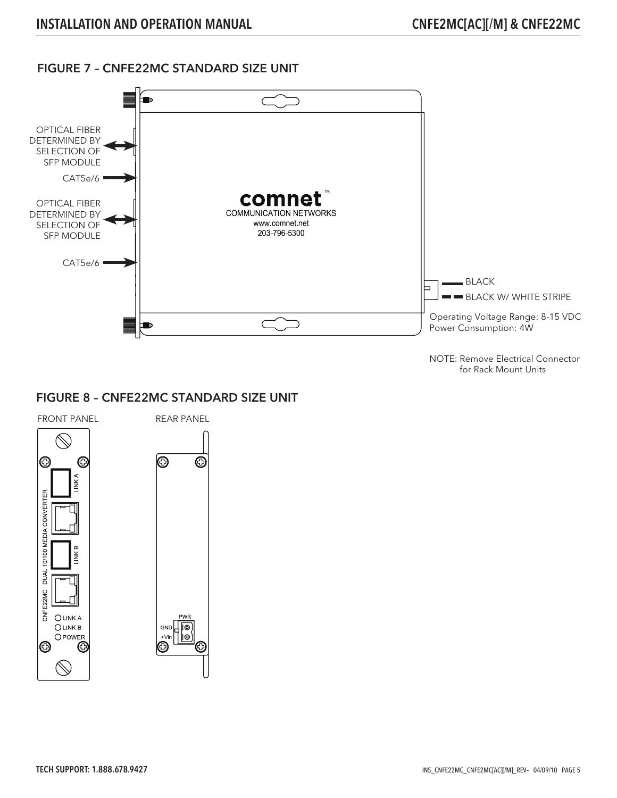## FIGURE 7 – CNFE22MC STANDARD SIZE UNIT



NOTE: Remove Electrical Connector for Rack Mount Units

#### FIGURE 8 – CNFE22MC STANDARD SIZE UNIT

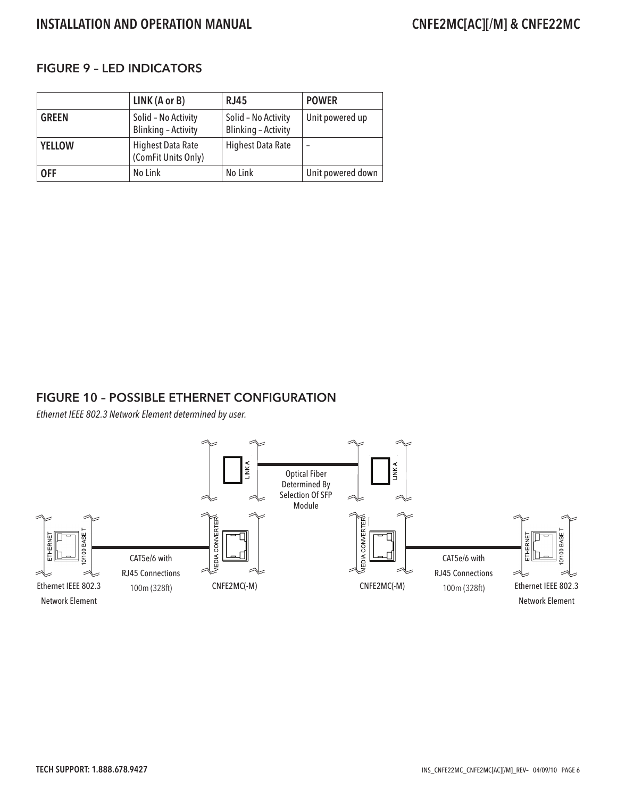# INSTALLATION AND OPERATION MANUAL CNFE2MC[AC][/M] & CNFE22MC

## FIGURE 9 – LED INDICATORS

|               | LINK (A or B)                                     | RJ45                                              | <b>POWER</b>      |
|---------------|---------------------------------------------------|---------------------------------------------------|-------------------|
| <b>GREEN</b>  | Solid - No Activity<br><b>Blinking - Activity</b> | Solid - No Activity<br><b>Blinking - Activity</b> | Unit powered up   |
| <b>YELLOW</b> | <b>Highest Data Rate</b><br>(ComFit Units Only)   | <b>Highest Data Rate</b>                          |                   |
| <b>OFF</b>    | No Link                                           | No Link                                           | Unit powered down |

#### FIGURE 10 – POSSIBLE ETHERNET CONFIGURATION

Ethernet IEEE 802.3 Network Element determined by user.